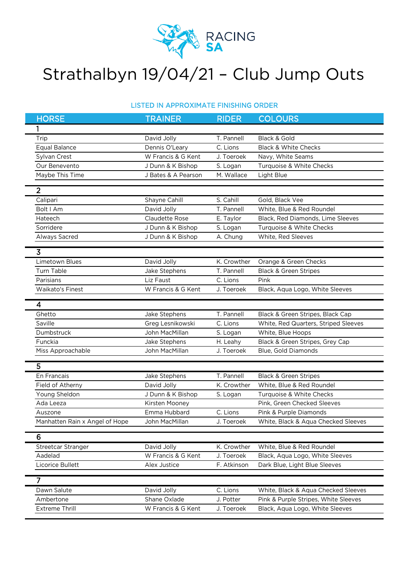

## Strathalbyn 19/04/21 – Club Jump Outs

## LISTED IN APPROXIMATE FINISHING ORDER

| <b>HORSE</b>                   | <b>TRAINER</b>      | <b>RIDER</b> | <b>COLOURS</b>                       |
|--------------------------------|---------------------|--------------|--------------------------------------|
| 1                              |                     |              |                                      |
| Trip                           | David Jolly         | T. Pannell   | Black & Gold                         |
| <b>Equal Balance</b>           | Dennis O'Leary      | C. Lions     | <b>Black &amp; White Checks</b>      |
| Sylvan Crest                   | W Francis & G Kent  | J. Toeroek   | Navy, White Seams                    |
| Our Benevento                  | J Dunn & K Bishop   | S. Logan     | Turquoise & White Checks             |
| Maybe This Time                | J Bates & A Pearson | M. Wallace   | Light Blue                           |
| $\overline{2}$                 |                     |              |                                      |
| Calipari                       | Shayne Cahill       | S. Cahill    | Gold, Black Vee                      |
| Bolt I Am                      | David Jolly         | T. Pannell   | White, Blue & Red Roundel            |
| Hateech                        | Claudette Rose      | E. Taylor    | Black, Red Diamonds, Lime Sleeves    |
| Sorridere                      | J Dunn & K Bishop   | S. Logan     | Turquoise & White Checks             |
| Always Sacred                  | J Dunn & K Bishop   | A. Chung     | White, Red Sleeves                   |
|                                |                     |              |                                      |
| $\overline{3}$                 |                     |              |                                      |
| <b>Limetown Blues</b>          | David Jolly         | K. Crowther  | Orange & Green Checks                |
| <b>Turn Table</b>              | Jake Stephens       | T. Pannell   | <b>Black &amp; Green Stripes</b>     |
| Parisians                      | Liz Faust           | C. Lions     | Pink                                 |
| <b>Waikato's Finest</b>        | W Francis & G Kent  | J. Toeroek   | Black, Aqua Logo, White Sleeves      |
| $\overline{\mathbf{4}}$        |                     |              |                                      |
| Ghetto                         | Jake Stephens       | T. Pannell   | Black & Green Stripes, Black Cap     |
| Saville                        | Greg Lesnikowski    | C. Lions     | White, Red Quarters, Striped Sleeves |
| Dumbstruck                     | John MacMillan      | S. Logan     | White, Blue Hoops                    |
| Funckia                        | Jake Stephens       | H. Leahy     | Black & Green Stripes, Grey Cap      |
| Miss Approachable              | John MacMillan      | J. Toeroek   | Blue, Gold Diamonds                  |
|                                |                     |              |                                      |
| 5                              |                     |              |                                      |
| En Francais                    | Jake Stephens       | T. Pannell   | Black & Green Stripes                |
| Field of Atherny               | David Jolly         | K. Crowther  | White, Blue & Red Roundel            |
| Young Sheldon                  | J Dunn & K Bishop   | S. Logan     | Turquoise & White Checks             |
| Ada Leeza                      | Kirsten Mooney      |              | Pink, Green Checked Sleeves          |
| Auszone                        | Emma Hubbard        | C. Lions     | Pink & Purple Diamonds               |
| Manhatten Rain x Angel of Hope | John MacMillan      | J. Toeroek   | White, Black & Aqua Checked Sleeves  |
| 6                              |                     |              |                                      |
| Streetcar Stranger             | David Jolly         | K. Crowther  | White, Blue & Red Roundel            |
| Aadelad                        | W Francis & G Kent  | J. Toeroek   | Black, Aqua Logo, White Sleeves      |
| Licorice Bullett               | Alex Justice        | F. Atkinson  | Dark Blue, Light Blue Sleeves        |
|                                |                     |              |                                      |
| $\overline{7}$                 |                     |              |                                      |
| Dawn Salute                    | David Jolly         | C. Lions     | White, Black & Aqua Checked Sleeves  |
| Ambertone                      | Shane Oxlade        | J. Potter    | Pink & Purple Stripes, White Sleeves |
| Extreme Thrill                 | W Francis & G Kent  | J. Toeroek   | Black, Aqua Logo, White Sleeves      |
|                                |                     |              |                                      |